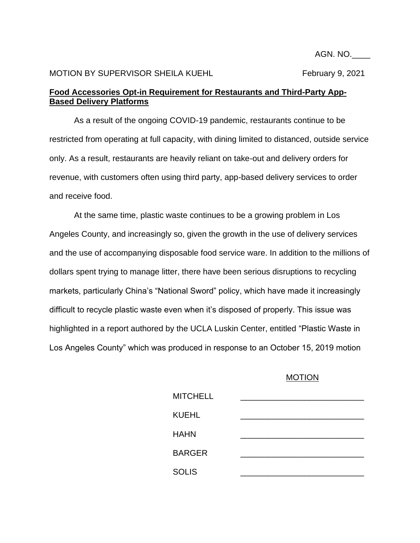AGN. NO.\_\_\_\_

## MOTION BY SUPERVISOR SHEILA KUEHL February 9, 2021

## **Food Accessories Opt-in Requirement for Restaurants and Third-Party App-Based Delivery Platforms**

As a result of the ongoing COVID-19 pandemic, restaurants continue to be restricted from operating at full capacity, with dining limited to distanced, outside service only. As a result, restaurants are heavily reliant on take-out and delivery orders for revenue, with customers often using third party, app-based delivery services to order and receive food.

At the same time, plastic waste continues to be a growing problem in Los Angeles County, and increasingly so, given the growth in the use of delivery services and the use of accompanying disposable food service ware. In addition to the millions of dollars spent trying to manage litter, there have been serious disruptions to recycling markets, particularly China's "National Sword" policy, which have made it increasingly difficult to recycle plastic waste even when it's disposed of properly. This issue was highlighted in a report authored by the UCLA Luskin Center, entitled "Plastic Waste in Los Angeles County" which was produced in response to an October 15, 2019 motion

## MOTION

| <b>MITCHELL</b> |  |
|-----------------|--|
| <b>KUEHL</b>    |  |
| <b>HAHN</b>     |  |
| <b>BARGER</b>   |  |
| <b>SOLIS</b>    |  |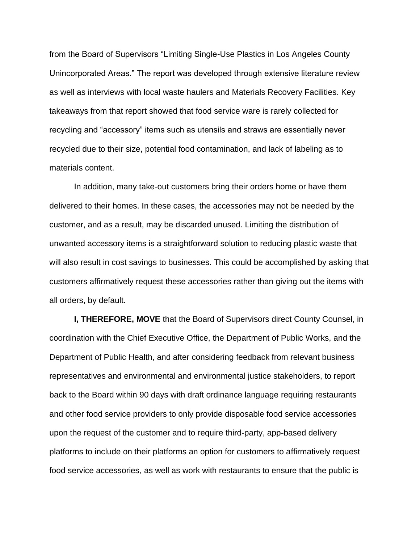from the Board of Supervisors "Limiting Single-Use Plastics in Los Angeles County Unincorporated Areas." The report was developed through extensive literature review as well as interviews with local waste haulers and Materials Recovery Facilities. Key takeaways from that report showed that food service ware is rarely collected for recycling and "accessory" items such as utensils and straws are essentially never recycled due to their size, potential food contamination, and lack of labeling as to materials content.

In addition, many take-out customers bring their orders home or have them delivered to their homes. In these cases, the accessories may not be needed by the customer, and as a result, may be discarded unused. Limiting the distribution of unwanted accessory items is a straightforward solution to reducing plastic waste that will also result in cost savings to businesses. This could be accomplished by asking that customers affirmatively request these accessories rather than giving out the items with all orders, by default.

**I, THEREFORE, MOVE** that the Board of Supervisors direct County Counsel, in coordination with the Chief Executive Office, the Department of Public Works, and the Department of Public Health, and after considering feedback from relevant business representatives and environmental and environmental justice stakeholders, to report back to the Board within 90 days with draft ordinance language requiring restaurants and other food service providers to only provide disposable food service accessories upon the request of the customer and to require third-party, app-based delivery platforms to include on their platforms an option for customers to affirmatively request food service accessories, as well as work with restaurants to ensure that the public is